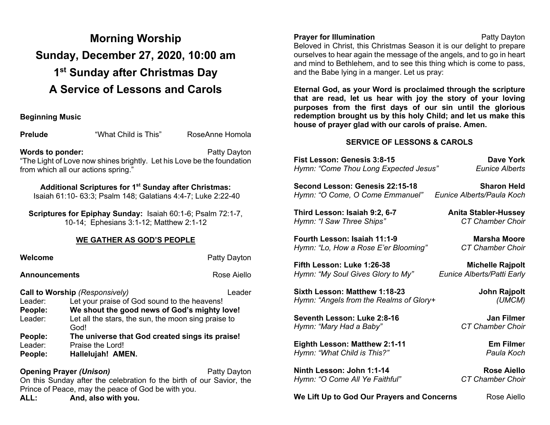# **Morning Worship Sunday, December 27, 2020, 10:00 am 1st Sunday after Christmas Day A Service of Lessons and Carols**

#### **Beginning Music**

**Prelude** "What Child is This" RoseAnne Homola

**Words to ponder:** Patty Dayton "The Light of Love now shines brightly. Let his Love be the foundation from which all our actions spring."

### **Additional Scriptures for 1st Sunday after Christmas:**

Isaiah 61:10- 63:3; Psalm 148; Galatians 4:4-7; Luke 2:22-40

**Scriptures for Epiphay Sunday:** Isaiah 60:1-6; Psalm 72:1-7, 10-14; Ephesians 3:1-12; Matthew 2:1-12

### **WE GATHER AS GOD'S PEOPLE**

| Welcome              |                                                                      | Patty Dayton |  |
|----------------------|----------------------------------------------------------------------|--------------|--|
| <b>Announcements</b> |                                                                      | Rose Aiello  |  |
|                      | <b>Call to Worship (Responsively)</b>                                | Leader       |  |
| Leader:              | Let your praise of God sound to the heavens!                         |              |  |
| People:              | We shout the good news of God's mighty love!                         |              |  |
| Leader:              | Let all the stars, the sun, the moon sing praise to<br>God!          |              |  |
| People:              | The universe that God created sings its praise!                      |              |  |
| Leader:              | Praise the Lord!                                                     |              |  |
| People:              | Hallelujah! AMEN.                                                    |              |  |
|                      | <b>Opening Prayer (Unison)</b>                                       | Patty Dayton |  |
|                      | On this Sunday ofter the colobration to the birth of our Sovier, the |              |  |

On this Sunday after the celebration fo the birth of our Savior, the Prince of Peace, may the peace of God be with you.

**ALL: And, also with you.**

# **Prayer for Illumination Patty Dayton**

Beloved in Christ, this Christmas Season it is our delight to prepare ourselves to hear again the message of the angels, and to go in heart and mind to Bethlehem, and to see this thing which is come to pass, and the Babe lying in a manger. Let us pray:

**Eternal God, as your Word is proclaimed through the scripture that are read, let us hear with joy the story of your loving purposes from the first days of our sin until the glorious redemption brought us by this holy Child; and let us make this house of prayer glad with our carols of praise. Amen.** 

#### **SERVICE OF LESSONS & CAROLS**

| Fist Lesson: Genesis 3:8-15             | Dave York                   |
|-----------------------------------------|-----------------------------|
| Hymn: "Come Thou Long Expected Jesus"   | Eunice Alberts              |
| Second Lesson: Genesis 22:15-18         | <b>Sharon Held</b>          |
| Hymn: "O Come, O Come Emmanuel"         | Eunice Alberts/Paula Koch   |
| Third Lesson: Isaiah 9:2, 6-7           | <b>Anita Stabler-Hussey</b> |
| Hymn: "I Saw Three Ships"               | <b>CT Chamber Choir</b>     |
| Fourth Lesson: Isaiah 11:1-9            | Marsha Moore                |
| Hymn: "Lo, How a Rose E'er Blooming"    | <b>CT Chamber Choir</b>     |
| Fifth Lesson: Luke 1:26-38              | <b>Michelle Rajpolt</b>     |
| Hymn: "My Soul Gives Glory to My"       | Eunice Alberts/Patti Early  |
| Sixth Lesson: Matthew 1:18-23           | John Rajpolt                |
| Hymn: "Angels from the Realms of Glory+ | (UMCM)                      |
| Seventh Lesson: Luke 2:8-16             | Jan Filmer                  |
| Hymn: "Mary Had a Baby"                 | CT Chamber Choir            |
| Eighth Lesson: Matthew 2:1-11           | <b>Em Filmer</b>            |
| Hymn: "What Child is This?"             | Paula Koch                  |
| Ninth Lesson: John 1:1-14               | Rose Aiello                 |

*Hymn: "O Come All Ye Faithful" CT Chamber Choir* 

**We Lift Up to God Our Prayers and Concerns** Rose Aiello